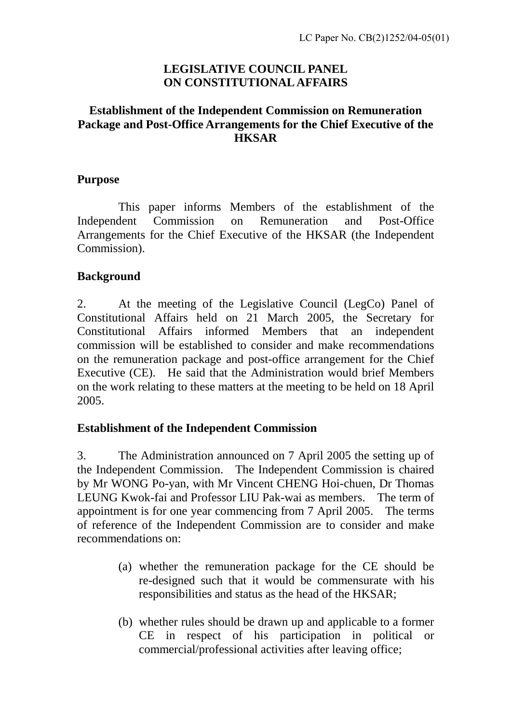# **LEGISLATIVE COUNCIL PANEL ON CONSTITUTIONAL AFFAIRS**

#### **Establishment of the Independent Commission on Remuneration Package and Post-Office Arrangements for the Chief Executive of the HKSAR**

#### **Purpose**

 This paper informs Members of the establishment of the Independent Commission on Remuneration and Post-Office Arrangements for the Chief Executive of the HKSAR (the Independent Commission).

# **Background**

2. At the meeting of the Legislative Council (LegCo) Panel of Constitutional Affairs held on 21 March 2005, the Secretary for Constitutional Affairs informed Members that an independent commission will be established to consider and make recommendations on the remuneration package and post-office arrangement for the Chief Executive (CE). He said that the Administration would brief Members on the work relating to these matters at the meeting to be held on 18 April 2005.

# **Establishment of the Independent Commission**

3. The Administration announced on 7 April 2005 the setting up of the Independent Commission. The Independent Commission is chaired by Mr WONG Po-yan, with Mr Vincent CHENG Hoi-chuen, Dr Thomas LEUNG Kwok-fai and Professor LIU Pak-wai as members. The term of appointment is for one year commencing from 7 April 2005. The terms of reference of the Independent Commission are to consider and make recommendations on:

- (a) whether the remuneration package for the CE should be re-designed such that it would be commensurate with his responsibilities and status as the head of the HKSAR;
- (b) whether rules should be drawn up and applicable to a former CE in respect of his participation in political or commercial/professional activities after leaving office;